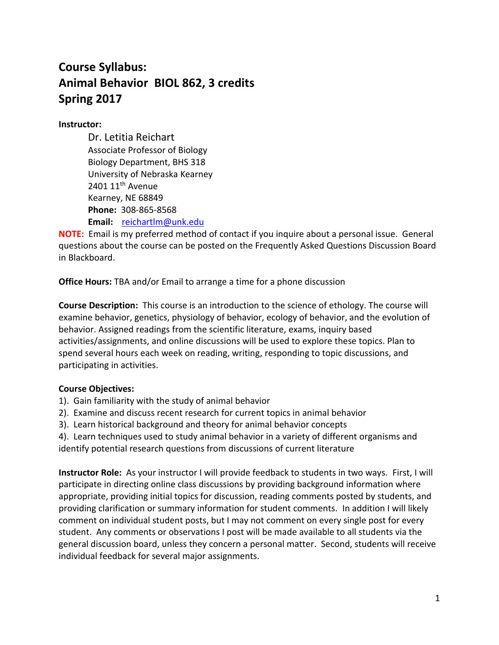# **Course Syllabus: Animal Behavior BIOL 862, 3 credits Spring 2017**

## **Instructor:**

Dr. Letitia Reichart Associate Professor of Biology Biology Department, BHS 318 University of Nebraska Kearney 2401  $11<sup>th</sup>$  Avenue Kearney, NE 68849 **Phone:** 308-865-8568 **Email:** [reichartlm@unk.edu](mailto:reichartlm@unk.edu)

**NOTE:** Email is my preferred method of contact if you inquire about a personal issue. General questions about the course can be posted on the Frequently Asked Questions Discussion Board in Blackboard.

**Office Hours:** TBA and/or Email to arrange a time for a phone discussion

**Course Description:** This course is an introduction to the science of ethology. The course will examine behavior, genetics, physiology of behavior, ecology of behavior, and the evolution of behavior. Assigned readings from the scientific literature, exams, inquiry based activities/assignments, and online discussions will be used to explore these topics. Plan to spend several hours each week on reading, writing, responding to topic discussions, and participating in activities.

# **Course Objectives:**

- 1). Gain familiarity with the study of animal behavior
- 2). Examine and discuss recent research for current topics in animal behavior
- 3). Learn historical background and theory for animal behavior concepts
- 4). Learn techniques used to study animal behavior in a variety of different organisms and identify potential research questions from discussions of current literature

**Instructor Role:** As your instructor I will provide feedback to students in two ways. First, I will participate in directing online class discussions by providing background information where appropriate, providing initial topics for discussion, reading comments posted by students, and providing clarification or summary information for student comments. In addition I will likely comment on individual student posts, but I may not comment on every single post for every student. Any comments or observations I post will be made available to all students via the general discussion board, unless they concern a personal matter. Second, students will receive individual feedback for several major assignments.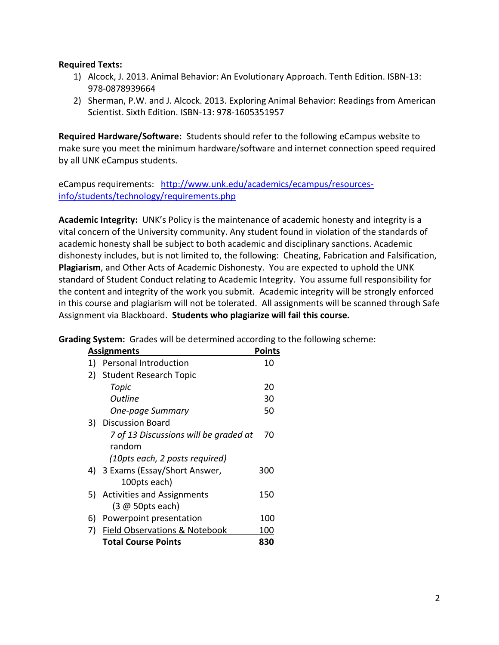### **Required Texts:**

- 1) Alcock, J. 2013. Animal Behavior: An Evolutionary Approach. Tenth Edition. ISBN-13: 978-0878939664
- 2) Sherman, P.W. and J. Alcock. 2013. Exploring Animal Behavior: Readings from American Scientist. Sixth Edition. ISBN-13: 978-1605351957

**Required Hardware/Software:** Students should refer to the following eCampus website to make sure you meet the minimum hardware/software and internet connection speed required by all UNK eCampus students.

eCampus requirements: [http://www.unk.edu/academics/ecampus/resources](http://www.unk.edu/academics/ecampus/resources-info/students/technology/requirements.php)[info/students/technology/requirements.php](http://www.unk.edu/academics/ecampus/resources-info/students/technology/requirements.php)

**Academic Integrity:** UNK's Policy is the maintenance of academic honesty and integrity is a vital concern of the University community. Any student found in violation of the standards of academic honesty shall be subject to both academic and disciplinary sanctions. Academic dishonesty includes, but is not limited to, the following: Cheating, Fabrication and Falsification, **Plagiarism**, and Other Acts of Academic Dishonesty. You are expected to uphold the UNK standard of Student Conduct relating to Academic Integrity. You assume full responsibility for the content and integrity of the work you submit. Academic integrity will be strongly enforced in this course and plagiarism will not be tolerated. All assignments will be scanned through Safe Assignment via Blackboard. **Students who plagiarize will fail this course.**

**Grading System:** Grades will be determined according to the following scheme:

| <b>Points</b><br><b>Assignments</b> |                                          |     |  |  |
|-------------------------------------|------------------------------------------|-----|--|--|
| 1)                                  | Personal Introduction                    | 10  |  |  |
| 2)                                  | <b>Student Research Topic</b>            |     |  |  |
|                                     | Topic                                    | 20  |  |  |
|                                     | Outline                                  | 30  |  |  |
|                                     | One-page Summary                         | 50  |  |  |
|                                     | 3) Discussion Board                      |     |  |  |
|                                     | 7 of 13 Discussions will be graded at    | 70  |  |  |
|                                     | random                                   |     |  |  |
|                                     | (10pts each, 2 posts required)           |     |  |  |
|                                     | 4) 3 Exams (Essay/Short Answer,          | 300 |  |  |
|                                     | 100pts each)                             |     |  |  |
| 5)                                  | <b>Activities and Assignments</b>        | 150 |  |  |
|                                     | $(3 \n\omega 50pts each)$                |     |  |  |
| 6)                                  | Powerpoint presentation                  | 100 |  |  |
| 7)                                  | <b>Field Observations &amp; Notebook</b> | 100 |  |  |
|                                     | <b>Total Course Points</b>               | 830 |  |  |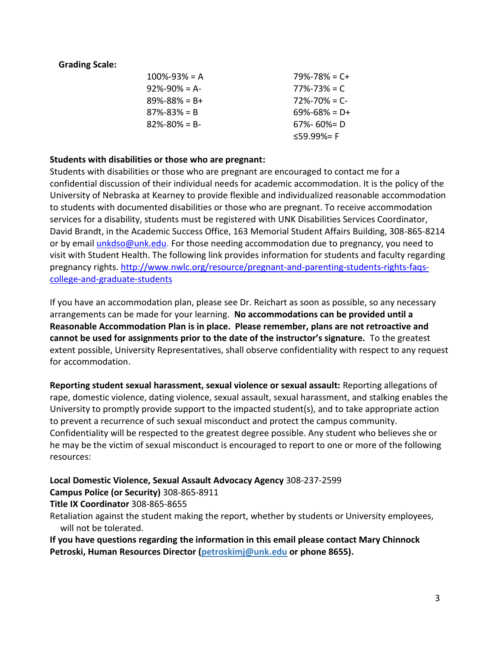## **Grading Scale:**

| $100\% - 93\% = A$  | $79\% - 78\% = C +$ |
|---------------------|---------------------|
| $92\% - 90\% = A$   | $77\% - 73\% = C$   |
| $89\% - 88\% = B +$ | $72\% - 70\% = C$   |
| $87\% - 83\% = B$   | $69\% - 68\% = D +$ |
| $82\% - 80\% = B$   | $67\% - 60\% = D$   |
|                     | ≤59.99%= F          |

### **Students with disabilities or those who are pregnant:**

Students with disabilities or those who are pregnant are encouraged to contact me for a confidential discussion of their individual needs for academic accommodation. It is the policy of the University of Nebraska at Kearney to provide flexible and individualized reasonable accommodation to students with documented disabilities or those who are pregnant. To receive accommodation services for a disability, students must be registered with UNK Disabilities Services Coordinator, David Brandt, in the Academic Success Office, 163 Memorial Student Affairs Building, 308-865-8214 or by email [unkdso@unk.edu.](mailto:unkdso@unk.edu) For those needing accommodation due to pregnancy, you need to visit with Student Health. The following link provides information for students and faculty regarding pregnancy rights. [http://www.nwlc.org/resource/pregnant-and-parenting-students-rights-faqs](http://www.nwlc.org/resource/pregnant-and-parenting-students-rights-faqs-college-and-graduate-students)[college-and-graduate-students](http://www.nwlc.org/resource/pregnant-and-parenting-students-rights-faqs-college-and-graduate-students)

If you have an accommodation plan, please see Dr. Reichart as soon as possible, so any necessary arrangements can be made for your learning. **No accommodations can be provided until a Reasonable Accommodation Plan is in place. Please remember, plans are not retroactive and cannot be used for assignments prior to the date of the instructor's signature.** To the greatest extent possible, University Representatives, shall observe confidentiality with respect to any request for accommodation.

**Reporting student sexual harassment, sexual violence or sexual assault:** Reporting allegations of rape, domestic violence, dating violence, sexual assault, sexual harassment, and stalking enables the University to promptly provide support to the impacted student(s), and to take appropriate action to prevent a recurrence of such sexual misconduct and protect the campus community. Confidentiality will be respected to the greatest degree possible. Any student who believes she or he may be the victim of sexual misconduct is encouraged to report to one or more of the following resources:

**Local Domestic Violence, Sexual Assault Advocacy Agency** 308-237-2599

**Campus Police (or Security)** 308-865-8911

**Title IX Coordinator** 308-865-8655

Retaliation against the student making the report, whether by students or University employees, will not be tolerated.

**If you have questions regarding the information in this email please contact Mary Chinnock Petroski, Human Resources Director [\(petroskimj@unk.edu](mailto:petroskimj@unk.edu) or phone 8655).**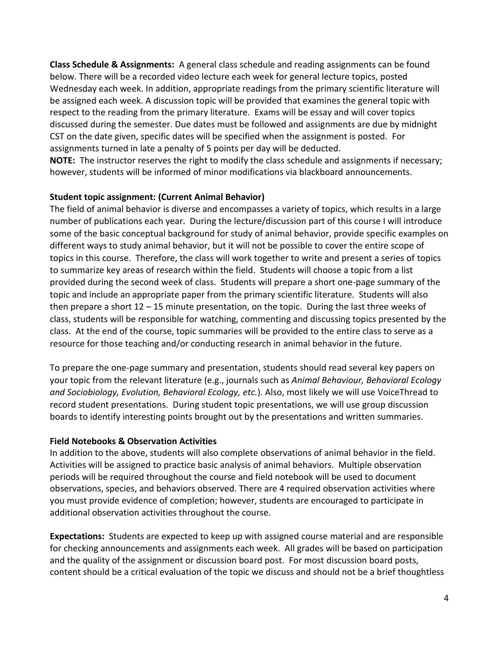**Class Schedule & Assignments:** A general class schedule and reading assignments can be found below. There will be a recorded video lecture each week for general lecture topics, posted Wednesday each week. In addition, appropriate readings from the primary scientific literature will be assigned each week. A discussion topic will be provided that examines the general topic with respect to the reading from the primary literature. Exams will be essay and will cover topics discussed during the semester. Due dates must be followed and assignments are due by midnight CST on the date given, specific dates will be specified when the assignment is posted. For assignments turned in late a penalty of 5 points per day will be deducted.

**NOTE:** The instructor reserves the right to modify the class schedule and assignments if necessary; however, students will be informed of minor modifications via blackboard announcements.

# **Student topic assignment: (Current Animal Behavior)**

The field of animal behavior is diverse and encompasses a variety of topics, which results in a large number of publications each year. During the lecture/discussion part of this course I will introduce some of the basic conceptual background for study of animal behavior, provide specific examples on different ways to study animal behavior, but it will not be possible to cover the entire scope of topics in this course. Therefore, the class will work together to write and present a series of topics to summarize key areas of research within the field. Students will choose a topic from a list provided during the second week of class. Students will prepare a short one-page summary of the topic and include an appropriate paper from the primary scientific literature. Students will also then prepare a short 12 – 15 minute presentation, on the topic. During the last three weeks of class, students will be responsible for watching, commenting and discussing topics presented by the class. At the end of the course, topic summaries will be provided to the entire class to serve as a resource for those teaching and/or conducting research in animal behavior in the future.

To prepare the one-page summary and presentation, students should read several key papers on your topic from the relevant literature (e.g., journals such as *Animal Behaviour, Behavioral Ecology and Sociobiology, Evolution, Behavioral Ecology, etc.*). Also, most likely we will use VoiceThread to record student presentations. During student topic presentations, we will use group discussion boards to identify interesting points brought out by the presentations and written summaries.

# **Field Notebooks & Observation Activities**

In addition to the above, students will also complete observations of animal behavior in the field. Activities will be assigned to practice basic analysis of animal behaviors. Multiple observation periods will be required throughout the course and field notebook will be used to document observations, species, and behaviors observed. There are 4 required observation activities where you must provide evidence of completion; however, students are encouraged to participate in additional observation activities throughout the course.

**Expectations:** Students are expected to keep up with assigned course material and are responsible for checking announcements and assignments each week. All grades will be based on participation and the quality of the assignment or discussion board post. For most discussion board posts, content should be a critical evaluation of the topic we discuss and should not be a brief thoughtless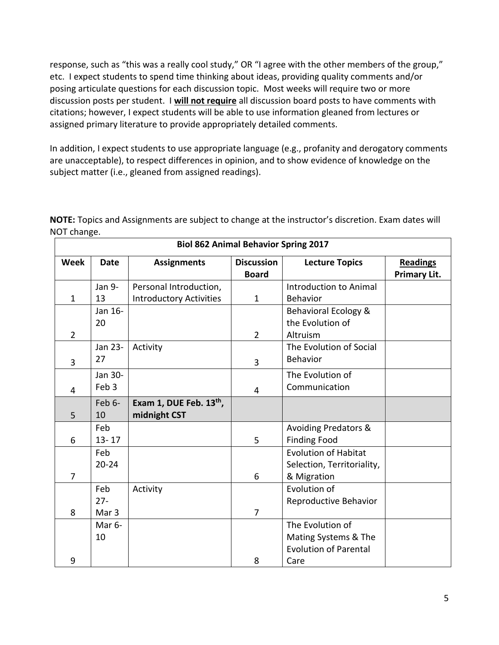response, such as "this was a really cool study," OR "I agree with the other members of the group," etc. I expect students to spend time thinking about ideas, providing quality comments and/or posing articulate questions for each discussion topic. Most weeks will require two or more discussion posts per student. I **will not require** all discussion board posts to have comments with citations; however, I expect students will be able to use information gleaned from lectures or assigned primary literature to provide appropriately detailed comments.

In addition, I expect students to use appropriate language (e.g., profanity and derogatory comments are unacceptable), to respect differences in opinion, and to show evidence of knowledge on the subject matter (i.e., gleaned from assigned readings).

**NOTE:** Topics and Assignments are subject to change at the instructor's discretion. Exam dates will NOT change.

| <b>Biol 862 Animal Behavior Spring 2017</b> |                    |                                     |                   |                                 |                     |  |  |
|---------------------------------------------|--------------------|-------------------------------------|-------------------|---------------------------------|---------------------|--|--|
| <b>Week</b>                                 | <b>Date</b>        | <b>Assignments</b>                  | <b>Discussion</b> | <b>Lecture Topics</b>           | <b>Readings</b>     |  |  |
|                                             |                    |                                     | <b>Board</b>      |                                 | <b>Primary Lit.</b> |  |  |
|                                             | Jan 9-             | Personal Introduction,              |                   | <b>Introduction to Animal</b>   |                     |  |  |
| $\mathbf{1}$                                | 13                 | <b>Introductory Activities</b>      | $\mathbf{1}$      | Behavior                        |                     |  |  |
|                                             | Jan 16-            |                                     |                   | Behavioral Ecology &            |                     |  |  |
|                                             | 20                 |                                     |                   | the Evolution of                |                     |  |  |
| $\overline{2}$                              |                    |                                     | $\overline{2}$    | Altruism                        |                     |  |  |
|                                             | Jan 23-            | Activity                            |                   | The Evolution of Social         |                     |  |  |
| 3                                           | 27                 |                                     | 3                 | <b>Behavior</b>                 |                     |  |  |
|                                             | Jan 30-            |                                     |                   | The Evolution of                |                     |  |  |
| 4                                           | Feb 3              |                                     | 4                 | Communication                   |                     |  |  |
|                                             | Feb 6-             | Exam 1, DUE Feb. 13 <sup>th</sup> , |                   |                                 |                     |  |  |
| 5                                           | 10                 | midnight CST                        |                   |                                 |                     |  |  |
|                                             | Feb                |                                     |                   | <b>Avoiding Predators &amp;</b> |                     |  |  |
| 6                                           | $13 - 17$          |                                     | 5                 | <b>Finding Food</b>             |                     |  |  |
|                                             | Feb                |                                     |                   | <b>Evolution of Habitat</b>     |                     |  |  |
|                                             | $20 - 24$          |                                     |                   | Selection, Territoriality,      |                     |  |  |
| $\overline{7}$                              |                    |                                     | 6                 | & Migration                     |                     |  |  |
|                                             | Feb                | Activity                            |                   | Evolution of                    |                     |  |  |
|                                             | $27 -$             |                                     |                   | Reproductive Behavior           |                     |  |  |
| 8                                           | Mar <sub>3</sub>   |                                     | $\overline{7}$    |                                 |                     |  |  |
|                                             | Mar <sub>6</sub> - |                                     |                   | The Evolution of                |                     |  |  |
|                                             | 10                 |                                     |                   | Mating Systems & The            |                     |  |  |
|                                             |                    |                                     |                   | <b>Evolution of Parental</b>    |                     |  |  |
| 9                                           |                    |                                     | 8                 | Care                            |                     |  |  |